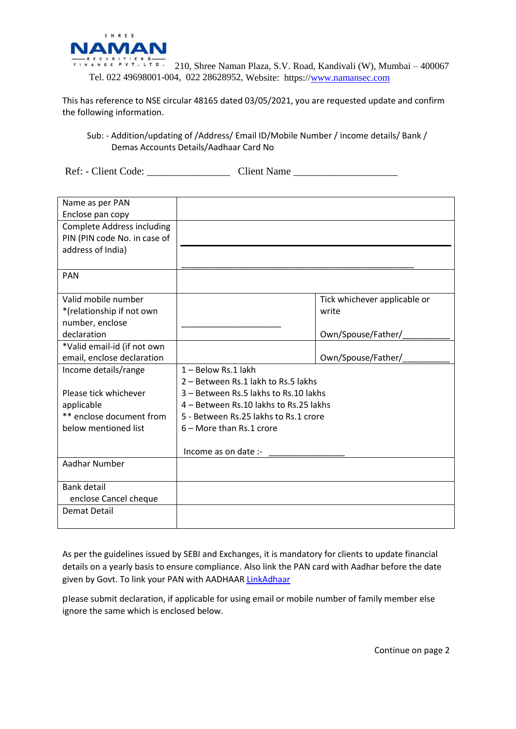

 $\frac{1}{2}$   $\frac{1}{2}$   $\frac{1}{2}$   $\frac{1}{2}$   $\frac{1}{2}$   $\frac{1}{2}$   $\frac{1}{2}$   $\frac{1}{2}$   $\frac{1}{2}$   $\frac{1}{2}$   $\frac{1}{2}$   $\frac{1}{2}$   $\frac{1}{2}$   $\frac{1}{2}$   $\frac{1}{2}$   $\frac{1}{2}$   $\frac{1}{2}$   $\frac{1}{2}$   $\frac{1}{2}$   $\frac{1}{2}$   $\frac{1}{2}$   $\frac{1}{2}$  Tel. 022 49698001-004, 022 28628952, Website: https:/[/www.namansec.com](http://www.namansec.com/)

This has reference to NSE circular 48165 dated 03/05/2021, you are requested update and confirm the following information.

## Sub: - Addition/updating of /Address/ Email ID/Mobile Number / income details/ Bank / Demas Accounts Details/Aadhaar Card No

Ref: - Client Code: \_\_\_\_\_\_\_\_\_\_\_\_\_\_\_\_ Client Name \_\_\_\_\_\_\_\_\_\_\_\_\_\_\_\_\_\_\_\_

| Name as per PAN<br>Enclose pan copy                                                    |                                                            |                                       |
|----------------------------------------------------------------------------------------|------------------------------------------------------------|---------------------------------------|
| <b>Complete Address including</b><br>PIN (PIN code No. in case of<br>address of India) |                                                            |                                       |
|                                                                                        |                                                            |                                       |
| <b>PAN</b>                                                                             |                                                            |                                       |
| Valid mobile number<br>*(relationship if not own<br>number, enclose                    |                                                            | Tick whichever applicable or<br>write |
| declaration                                                                            |                                                            | Own/Spouse/Father/_                   |
| *Valid email-id (if not own<br>email, enclose declaration                              |                                                            | Own/Spouse/Father/                    |
| Income details/range                                                                   | 1 - Below Rs.1 lakh<br>2 – Between Rs.1 lakh to Rs.5 lakhs |                                       |
| Please tick whichever                                                                  | 3 - Between Rs.5 lakhs to Rs.10 lakhs                      |                                       |
| applicable                                                                             | 4 – Between Rs.10 lakhs to Rs.25 lakhs                     |                                       |
| ** enclose document from                                                               | 5 - Between Rs.25 lakhs to Rs.1 crore                      |                                       |
| below mentioned list                                                                   | $6 -$ More than Rs.1 crore                                 |                                       |
|                                                                                        | Income as on date :-                                       |                                       |
| Aadhar Number                                                                          |                                                            |                                       |
| <b>Bank detail</b>                                                                     |                                                            |                                       |
| enclose Cancel cheque                                                                  |                                                            |                                       |
| Demat Detail                                                                           |                                                            |                                       |
|                                                                                        |                                                            |                                       |

As per the guidelines issued by SEBI and Exchanges, it is mandatory for clients to update financial details on a yearly basis to ensure compliance. Also link the PAN card with Aadhar before the date given by Govt. To link your PAN with AADHAAR [LinkAdhaar](https://eportal.incometax.gov.in/iec/foservices/#/pre-login/bl-link-aadhaar)

please submit declaration, if applicable for using email or mobile number of family member else ignore the same which is enclosed below.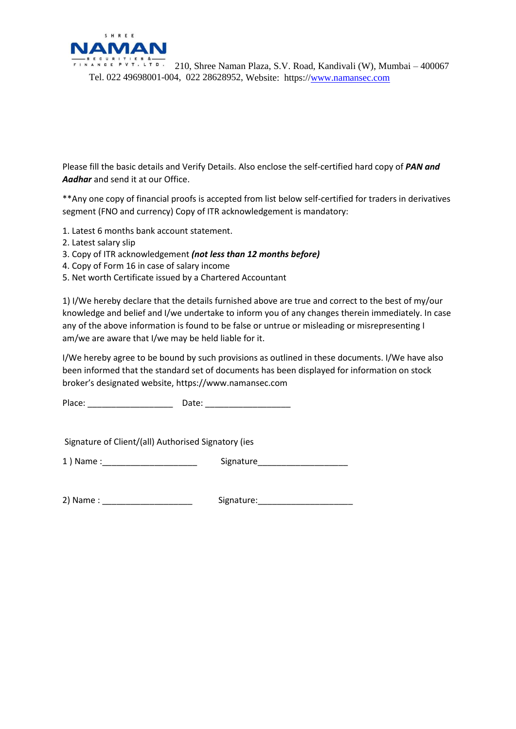

 $\frac{1}{2}$  is equilities  $\frac{1}{2}$  210, Shree Naman Plaza, S.V. Road, Kandivali (W), Mumbai – 400067 Tel. 022 49698001-004, 022 28628952, Website: https:/[/www.namansec.com](http://www.namansec.com/)

Please fill the basic details and Verify Details. Also enclose the self-certified hard copy of *PAN and Aadhar* and send it at our Office.

\*\*Any one copy of financial proofs is accepted from list below self-certified for traders in derivatives segment (FNO and currency) Copy of ITR acknowledgement is mandatory:

- 1. Latest 6 months bank account statement.
- 2. Latest salary slip
- 3. Copy of ITR acknowledgement *(not less than 12 months before)*
- 4. Copy of Form 16 in case of salary income
- 5. Net worth Certificate issued by a Chartered Accountant

1) I/We hereby declare that the details furnished above are true and correct to the best of my/our knowledge and belief and I/we undertake to inform you of any changes therein immediately. In case any of the above information is found to be false or untrue or misleading or misrepresenting I am/we are aware that I/we may be held liable for it.

I/We hereby agree to be bound by such provisions as outlined in these documents. I/We have also been informed that the standard set of documents has been displayed for information on stock broker's designated website, https://www.namansec.com

Place: \_\_\_\_\_\_\_\_\_\_\_\_\_\_\_\_\_\_ Date: \_\_\_\_\_\_\_\_\_\_\_\_\_\_\_\_\_\_

Signature of Client/(all) Authorised Signatory (ies

1 ) Name : The state of the Signature Signature

2) Name : \_\_\_\_\_\_\_\_\_\_\_\_\_\_\_\_\_\_\_ Signature:\_\_\_\_\_\_\_\_\_\_\_\_\_\_\_\_\_\_\_\_